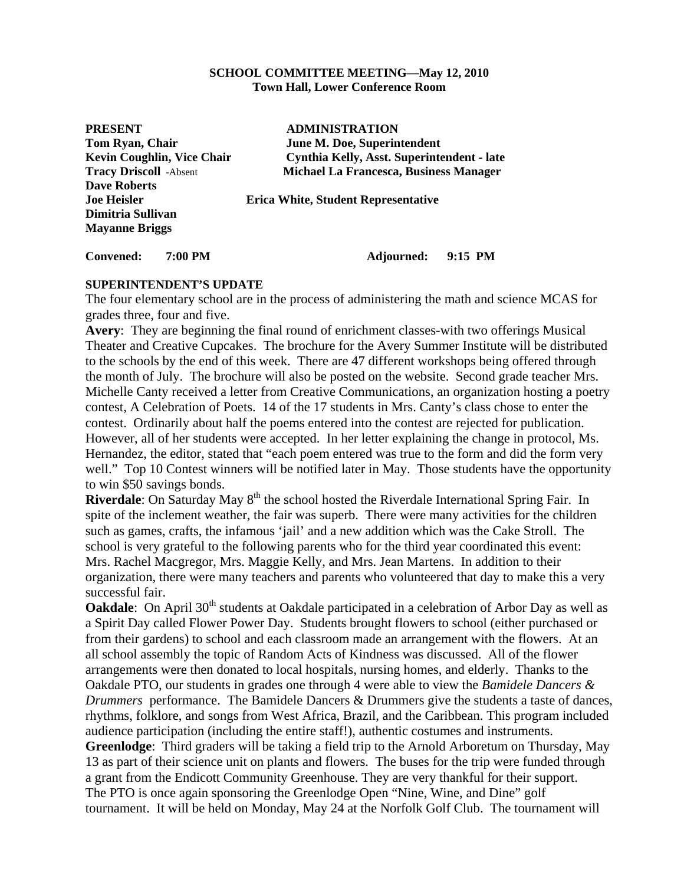#### **SCHOOL COMMITTEE MEETING—May 12, 2010 Town Hall, Lower Conference Room**

| <b>PRESENT</b>                    | <b>ADMINISTRATION</b>                         |
|-----------------------------------|-----------------------------------------------|
| Tom Ryan, Chair                   | June M. Doe, Superintendent                   |
| <b>Kevin Coughlin, Vice Chair</b> | Cynthia Kelly, Asst. Superintendent - late    |
| <b>Tracy Driscoll -Absent</b>     | <b>Michael La Francesca, Business Manager</b> |
| <b>Dave Roberts</b>               |                                               |
| <b>Joe Heisler</b>                | <b>Erica White, Student Representative</b>    |
| Dimitria Sullivan                 |                                               |
| <b>Mayanne Briggs</b>             |                                               |
|                                   |                                               |
|                                   |                                               |

**Convened: 7:00 PM Adjourned: 9:15 PM** 

## **SUPERINTENDENT'S UPDATE**

The four elementary school are in the process of administering the math and science MCAS for grades three, four and five.

**Avery**: They are beginning the final round of enrichment classes-with two offerings Musical Theater and Creative Cupcakes. The brochure for the Avery Summer Institute will be distributed to the schools by the end of this week. There are 47 different workshops being offered through the month of July. The brochure will also be posted on the website. Second grade teacher Mrs. Michelle Canty received a letter from Creative Communications, an organization hosting a poetry contest, A Celebration of Poets. 14 of the 17 students in Mrs. Canty's class chose to enter the contest. Ordinarily about half the poems entered into the contest are rejected for publication. However, all of her students were accepted. In her letter explaining the change in protocol, Ms. Hernandez, the editor, stated that "each poem entered was true to the form and did the form very well." Top 10 Contest winners will be notified later in May. Those students have the opportunity to win \$50 savings bonds.

**Riverdale**: On Saturday May 8<sup>th</sup> the school hosted the Riverdale International Spring Fair. In spite of the inclement weather, the fair was superb. There were many activities for the children such as games, crafts, the infamous 'jail' and a new addition which was the Cake Stroll. The school is very grateful to the following parents who for the third year coordinated this event: Mrs. Rachel Macgregor, Mrs. Maggie Kelly, and Mrs. Jean Martens. In addition to their organization, there were many teachers and parents who volunteered that day to make this a very successful fair.

**Oakdale**: On April 30<sup>th</sup> students at Oakdale participated in a celebration of Arbor Day as well as a Spirit Day called Flower Power Day. Students brought flowers to school (either purchased or from their gardens) to school and each classroom made an arrangement with the flowers. At an all school assembly the topic of Random Acts of Kindness was discussed. All of the flower arrangements were then donated to local hospitals, nursing homes, and elderly. Thanks to the Oakdale PTO, our students in grades one through 4 were able to view the *Bamidele Dancers & Drummers* performance. The Bamidele Dancers & Drummers give the students a taste of dances, rhythms, folklore, and songs from West Africa, Brazil, and the Caribbean. This program included audience participation (including the entire staff!), authentic costumes and instruments.

**Greenlodge**: Third graders will be taking a field trip to the Arnold Arboretum on Thursday, May 13 as part of their science unit on plants and flowers. The buses for the trip were funded through a grant from the Endicott Community Greenhouse. They are very thankful for their support. The PTO is once again sponsoring the Greenlodge Open "Nine, Wine, and Dine" golf tournament. It will be held on Monday, May 24 at the Norfolk Golf Club. The tournament will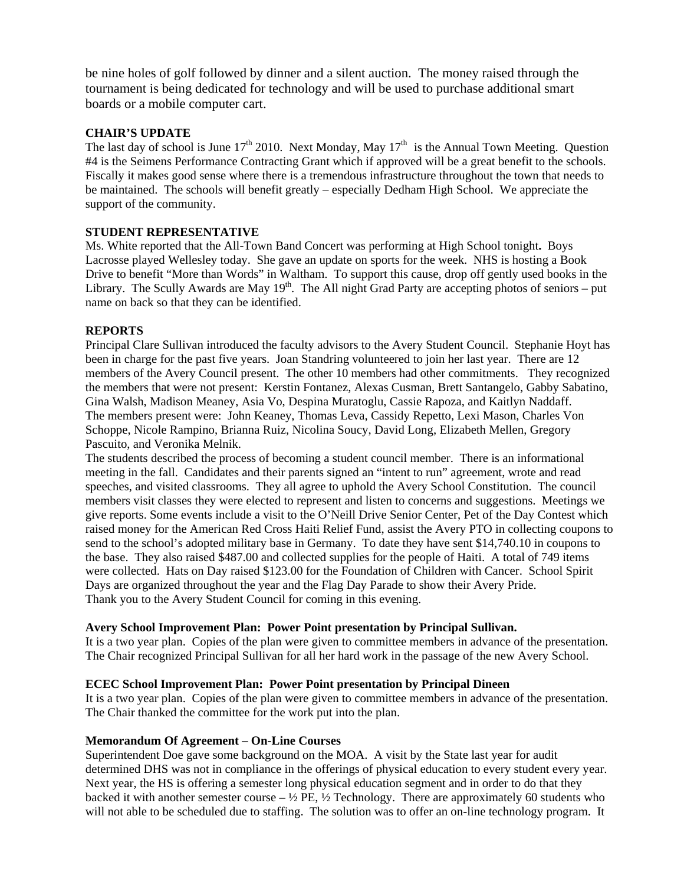be nine holes of golf followed by dinner and a silent auction. The money raised through the tournament is being dedicated for technology and will be used to purchase additional smart boards or a mobile computer cart.

#### **CHAIR'S UPDATE**

The last day of school is June  $17<sup>th</sup>$  2010. Next Monday, May  $17<sup>th</sup>$  is the Annual Town Meeting. Question #4 is the Seimens Performance Contracting Grant which if approved will be a great benefit to the schools. Fiscally it makes good sense where there is a tremendous infrastructure throughout the town that needs to be maintained. The schools will benefit greatly – especially Dedham High School. We appreciate the support of the community.

## **STUDENT REPRESENTATIVE**

Ms. White reported that the All-Town Band Concert was performing at High School tonight**.** Boys Lacrosse played Wellesley today. She gave an update on sports for the week. NHS is hosting a Book Drive to benefit "More than Words" in Waltham. To support this cause, drop off gently used books in the Library. The Scully Awards are May  $19<sup>th</sup>$ . The All night Grad Party are accepting photos of seniors – put name on back so that they can be identified.

## **REPORTS**

Principal Clare Sullivan introduced the faculty advisors to the Avery Student Council. Stephanie Hoyt has been in charge for the past five years. Joan Standring volunteered to join her last year. There are 12 members of the Avery Council present. The other 10 members had other commitments. They recognized the members that were not present: Kerstin Fontanez, Alexas Cusman, Brett Santangelo, Gabby Sabatino, Gina Walsh, Madison Meaney, Asia Vo, Despina Muratoglu, Cassie Rapoza, and Kaitlyn Naddaff. The members present were: John Keaney, Thomas Leva, Cassidy Repetto, Lexi Mason, Charles Von Schoppe, Nicole Rampino, Brianna Ruiz, Nicolina Soucy, David Long, Elizabeth Mellen, Gregory Pascuito, and Veronika Melnik.

The students described the process of becoming a student council member. There is an informational meeting in the fall. Candidates and their parents signed an "intent to run" agreement, wrote and read speeches, and visited classrooms. They all agree to uphold the Avery School Constitution. The council members visit classes they were elected to represent and listen to concerns and suggestions. Meetings we give reports. Some events include a visit to the O'Neill Drive Senior Center, Pet of the Day Contest which raised money for the American Red Cross Haiti Relief Fund, assist the Avery PTO in collecting coupons to send to the school's adopted military base in Germany. To date they have sent \$14,740.10 in coupons to the base. They also raised \$487.00 and collected supplies for the people of Haiti. A total of 749 items were collected. Hats on Day raised \$123.00 for the Foundation of Children with Cancer. School Spirit Days are organized throughout the year and the Flag Day Parade to show their Avery Pride. Thank you to the Avery Student Council for coming in this evening.

## **Avery School Improvement Plan: Power Point presentation by Principal Sullivan.**

It is a two year plan. Copies of the plan were given to committee members in advance of the presentation. The Chair recognized Principal Sullivan for all her hard work in the passage of the new Avery School.

## **ECEC School Improvement Plan: Power Point presentation by Principal Dineen**

It is a two year plan. Copies of the plan were given to committee members in advance of the presentation. The Chair thanked the committee for the work put into the plan.

#### **Memorandum Of Agreement – On-Line Courses**

Superintendent Doe gave some background on the MOA. A visit by the State last year for audit determined DHS was not in compliance in the offerings of physical education to every student every year. Next year, the HS is offering a semester long physical education segment and in order to do that they backed it with another semester course  $- \frac{1}{2}$  PE,  $\frac{1}{2}$  Technology. There are approximately 60 students who will not able to be scheduled due to staffing. The solution was to offer an on-line technology program. It